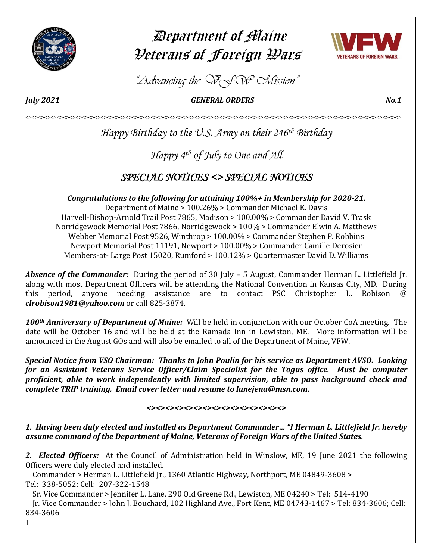

# Department of Maine Veterans of Foreign Wars



*"Advancing the VFW Mission"*

*July 2021 GENERAL ORDERS No.1* 

*Happy Birthday to the U.S. Army on their 246th Birthday*

<><><><><><><><><><><><><><><><><><><><><><><><><><><><><><><><><><><><><><><><><><><><><><><><><><><><><><><><><><><><>

*Happy 4th of July to One and All*

## *SPECIAL NOTICES <> SPECIAL NOTICES*

*Congratulations to the following for attaining 100%+ in Membership for 2020-21.*

Department of Maine > 100.26% > Commander Michael K. Davis Harvell-Bishop-Arnold Trail Post 7865, Madison > 100.00% > Commander David V. Trask Norridgewock Memorial Post 7866, Norridgewock > 100% > Commander Elwin A. Matthews Webber Memorial Post 9526, Winthrop > 100.00% > Commander Stephen P. Robbins Newport Memorial Post 11191, Newport > 100.00% > Commander Camille Derosier Members-at- Large Post 15020, Rumford > 100.12% > Quartermaster David D. Williams

*Absence of the Commander:* During the period of 30 July – 5 August, Commander Herman L. Littlefield Jr. along with most Department Officers will be attending the National Convention in Kansas City, MD. During this period, anyone needing assistance are to contact PSC Christopher L. Robison @ *[clrobison1981@yahoo.com](mailto:clrobison1981@yahoo.com)* or call 825-3874.

*100th Anniversary of Department of Maine:* Will be held in conjunction with our October CoA meeting. The date will be October 16 and will be held at the Ramada Inn in Lewiston, ME. More information will be announced in the August GOs and will also be emailed to all of the Department of Maine, VFW.

*Special Notice from VSO Chairman: Thanks to John Poulin for his service as Department AVSO. Looking for an Assistant Veterans Service Officer/Claim Specialist for the Togus office. Must be computer proficient, able to work independently with limited supervision, able to pass background check and complete TRIP training. Email cover letter and resume to lanejena@msn.com.* 

### $\leftrightarrow$

*1. Having been duly elected and installed as Department Commander… "I Herman L. Littlefield Jr. hereby assume command of the Department of Maine, Veterans of Foreign Wars of the United States.* 

*2. Elected Officers:* At the Council of Administration held in Winslow, ME, 19 June 2021 the following Officers were duly elected and installed.

 Commander > Herman L. Littlefield Jr., 1360 Atlantic Highway, Northport, ME 04849-3608 > Tel: 338-5052: Cell: 207-322-1548

Sr. Vice Commander > Jennifer L. Lane, 290 Old Greene Rd., Lewiston, ME 04240 > Tel: 514-4190

 Jr. Vice Commander > John J. Bouchard, 102 Highland Ave., Fort Kent, ME 04743-1467 > Tel: 834-3606; Cell: 834-3606

1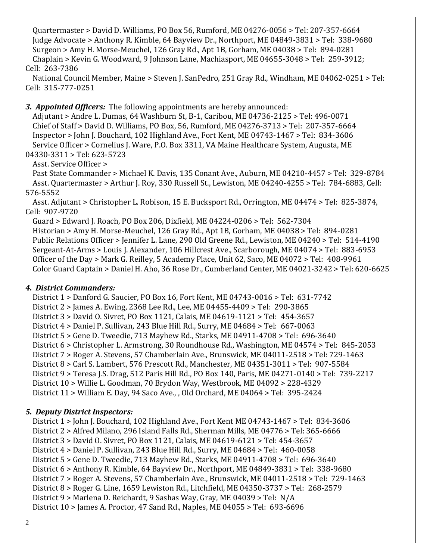Quartermaster > David D. Williams, PO Box 56, Rumford, ME 04276-0056 > Tel: 207-357-6664 Judge Advocate > Anthony R. Kimble, 64 Bayview Dr., Northport, ME 04849-3831 > Tel: 338-9680 Surgeon > Amy H. Morse-Meuchel, 126 Gray Rd., Apt 1B, Gorham, ME 04038 > Tel: 894-0281 Chaplain > Kevin G. Woodward, 9 Johnson Lane, Machiasport, ME 04655-3048 > Tel: 259-3912; Cell: 263-7386

 National Council Member, Maine > Steven J. SanPedro, 251 Gray Rd., Windham, ME 04062-0251 > Tel: Cell: 315-777-0251

### *3. Appointed Officers:* The following appointments are hereby announced:

 Adjutant > Andre L. Dumas, 64 Washburn St, B-1, Caribou, ME 04736-2125 > Tel: 496-0071 Chief of Staff > David D. Williams, PO Box, 56, Rumford, ME 04276-3713 > Tel: 207-357-6664 Inspector > John J. Bouchard, 102 Highland Ave., Fort Kent, ME 04743-1467 > Tel: 834-3606 Service Officer > Cornelius J. Ware, P.O. Box 3311, VA Maine Healthcare System, Augusta, ME 04330-3311 > Tel: 623-5723

### Asst. Service Officer >

 Past State Commander > Michael K. Davis, 135 Conant Ave., Auburn, ME 04210-4457 > Tel: 329-8784 Asst. Quartermaster > Arthur J. Roy, 330 Russell St., Lewiston, ME 04240-4255 > Tel: 784-6883, Cell: 576-5552

 Asst. Adjutant > Christopher L. Robison, 15 E. Bucksport Rd., Orrington, ME 04474 > Tel: 825-3874, Cell: 907-9720

 Guard > Edward J. Roach, PO Box 206, Dixfield, ME 04224-0206 > Tel: 562-7304 Historian > Amy H. Morse-Meuchel, 126 Gray Rd., Apt 1B, Gorham, ME 04038 > Tel: 894-0281 Public Relations Officer > Jennifer L. Lane, 290 Old Greene Rd., Lewiston, ME 04240 > Tel: 514-4190 Sergeant-At-Arms > Louis J. Alexander, 106 Hillcrest Ave., Scarborough, ME 04074 > Tel: 883-6953 Officer of the Day > Mark G. Reilley, 5 Academy Place, Unit 62, Saco, ME 04072 > Tel: 408-9961 Color Guard Captain > Daniel H. Aho, 36 Rose Dr., Cumberland Center, ME 04021-3242 > Tel: 620-6625

### *4. District Commanders:*

 District 1 > Danford G. Saucier, PO Box 16, Fort Kent, ME 04743-0016 > Tel: 631-7742 District 2 > James A. Ewing, 2368 Lee Rd., Lee, ME 04455-4409 > Tel: 290-3865 District 3 > David O. Sivret, PO Box 1121, Calais, ME 04619-1121 > Tel: 454-3657 District 4 > Daniel P. Sullivan, 243 Blue Hill Rd., Surry, ME 04684 > Tel: 667-0063 District 5 > Gene D. Tweedie, 713 Mayhew Rd., Starks, ME 04911-4708 > Tel: 696-3640 District 6 > Christopher L. Armstrong, 30 Roundhouse Rd., Washington, ME 04574 > Tel: 845-2053 District 7 > Roger A. Stevens, 57 Chamberlain Ave., Brunswick, ME 04011-2518 > Tel: 729-1463 District 8 > Carl S. Lambert, 576 Prescott Rd., Manchester, ME 04351-3011 > Tel: 907-5584 District 9 > Teresa J.S. Drag, 512 Paris Hill Rd., PO Box 140, Paris, ME 04271-0140 > Tel: 739-2217 District 10 > Willie L. Goodman, 70 Brydon Way, Westbrook, ME 04092 > 228-4329 District 11 > William E. Day, 94 Saco Ave., , Old Orchard, ME 04064 > Tel: 395-2424

### *5. Deputy District Inspectors:*

 District 1 > John J. Bouchard, 102 Highland Ave., Fort Kent ME 04743-1467 > Tel: 834-3606 District 2 > Alfred Milano, 296 Island Falls Rd., Sherman Mills, ME 04776 > Tel: 365-6666 District 3 > David O. Sivret, PO Box 1121, Calais, ME 04619-6121 > Tel: 454-3657 District 4 > Daniel P. Sullivan, 243 Blue Hill Rd., Surry, ME 04684 > Tel: 460-0058 District 5 > Gene D. Tweedie, 713 Mayhew Rd., Starks, ME 04911-4708 > Tel: 696-3640 District 6 > Anthony R. Kimble, 64 Bayview Dr., Northport, ME 04849-3831 > Tel: 338-9680 District 7 > Roger A. Stevens, 57 Chamberlain Ave., Brunswick, ME 04011-2518 > Tel: 729-1463 District 8 > Roger G. Line, 1659 Lewiston Rd., Litchfield, ME 04350-3737 > Tel: 268-2579 District 9 > Marlena D. Reichardt, 9 Sashas Way, Gray, ME 04039 > Tel: N/A District 10 > James A. Proctor, 47 Sand Rd., Naples, ME 04055 > Tel: 693-6696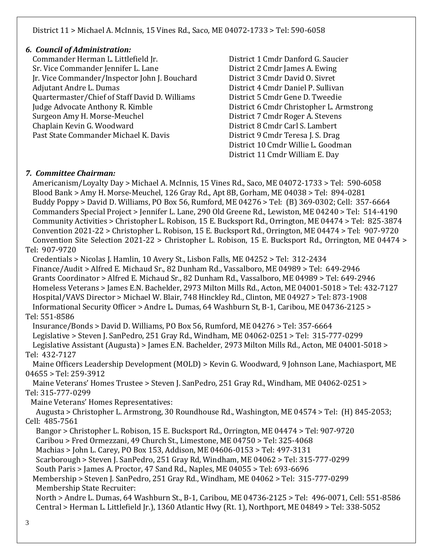### District 11 > Michael A. McInnis, 15 Vines Rd., Saco, ME 04072-1733 > Tel: 590-6058

### *6. Council of Administration:*

 Commander Herman L. Littlefield Jr. District 1 Cmdr Danford G. Saucier Sr. Vice Commander Jennifer L. Lane District 2 Cmdr James A. Ewing Jr. Vice Commander/Inspector John J. Bouchard District 3 Cmdr David O. Sivret Adjutant Andre L. Dumas **District 4 Cmdr Daniel P. Sullivan**  Quartermaster/Chief of Staff David D. Williams District 5 Cmdr Gene D. Tweedie Judge Advocate Anthony R. Kimble District 6 Cmdr Christopher L. Armstrong Surgeon Amy H. Morse-Meuchel District 7 Cmdr Roger A. Stevens Chaplain Kevin G. Woodward District 8 Cmdr Carl S. Lambert Past State Commander Michael K. Davis **District 9 Cmdr Teresa J. S. Drag** 

 District 10 Cmdr Willie L. Goodman District 11 Cmdr William E. Day

### *7. Committee Chairman:*

 Americanism/Loyalty Day > Michael A. McInnis, 15 Vines Rd., Saco, ME 04072-1733 > Tel: 590-6058 Blood Bank > Amy H. Morse-Meuchel, 126 Gray Rd., Apt 8B, Gorham, ME 04038 > Tel: 894-0281 Buddy Poppy > David D. Williams, PO Box 56, Rumford, ME 04276 > Tel: (B) 369-0302; Cell: 357-6664 Commanders Special Project > Jennifer L. Lane, 290 Old Greene Rd., Lewiston, ME 04240 > Tel: 514-4190 Community Activities > Christopher L. Robison, 15 E. Bucksport Rd., Orrington, ME 04474 > Tel: 825-3874 Convention 2021-22 > Christopher L. Robison, 15 E. Bucksport Rd., Orrington, ME 04474 > Tel: 907-9720 Convention Site Selection 2021-22 > Christopher L. Robison, 15 E. Bucksport Rd., Orrington, ME 04474 > Tel: 907-9720 Credentials > Nicolas J. Hamlin, 10 Avery St., Lisbon Falls, ME 04252 > Tel: 312-2434 Finance/Audit > Alfred E. Michaud Sr., 82 Dunham Rd., Vassalboro, ME 04989 > Tel: 649-2946 Grants Coordinator > Alfred E. Michaud Sr., 82 Dunham Rd., Vassalboro, ME 04989 > Tel: 649-2946 Homeless Veterans > James E.N. Bachelder, 2973 Milton Mills Rd., Acton, ME 04001-5018 > Tel: 432-7127 Hospital/VAVS Director > Michael W. Blair, 748 Hinckley Rd., Clinton, ME 04927 > Tel: 873-1908 Informational Security Officer > Andre L. Dumas, 64 Washburn St, B-1, Caribou, ME 04736-2125 > Tel: 551-8586 Insurance/Bonds > David D. Williams, PO Box 56, Rumford, ME 04276 > Tel: 357-6664 Legislative > Steven J. SanPedro, 251 Gray Rd., Windham, ME 04062-0251 > Tel: 315-777-0299 Legislative Assistant (Augusta) > James E.N. Bachelder, 2973 Milton Mills Rd., Acton, ME 04001-5018 >

### Tel: 432-7127

 Maine Officers Leadership Development (MOLD) > Kevin G. Woodward, 9 Johnson Lane, Machiasport, ME 04655 > Tel: 259-3912

 Maine Veterans' Homes Trustee > Steven J. SanPedro, 251 Gray Rd., Windham, ME 04062-0251 > Tel: 315-777-0299

Maine Veterans' Homes Representatives:

 Augusta > Christopher L. Armstrong, 30 Roundhouse Rd., Washington, ME 04574 > Tel: (H) 845-2053; Cell: 485-7561

 Bangor > Christopher L. Robison, 15 E. Bucksport Rd., Orrington, ME 04474 > Tel: 907-9720 Caribou > Fred Ormezzani, 49 Church St., Limestone, ME 04750 > Tel: 325-4068 Machias > John L. Carey, PO Box 153, Addison, ME 04606-0153 > Tel: 497-3131 Scarborough > Steven J. SanPedro, 251 Gray Rd, Windham, ME 04062 > Tel: 315-777-0299 South Paris > James A. Proctor, 47 Sand Rd., Naples, ME 04055 > Tel: 693-6696

 Membership > Steven J. SanPedro, 251 Gray Rd., Windham, ME 04062 > Tel: 315-777-0299 Membership State Recruiter:

 North > Andre L. Dumas, 64 Washburn St., B-1, Caribou, ME 04736-2125 > Tel: 496-0071, Cell: 551-8586 Central > Herman L. Littlefield Jr.), 1360 Atlantic Hwy (Rt. 1), Northport, ME 04849 > Tel: 338-5052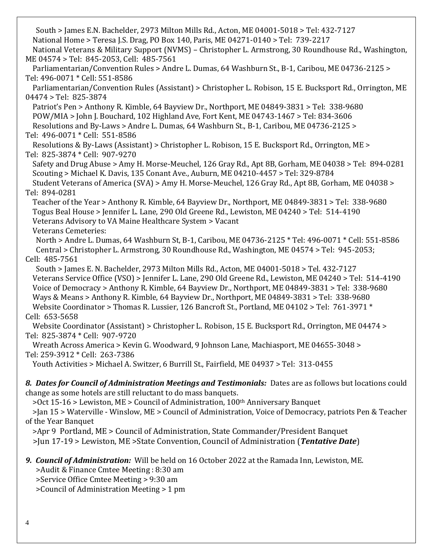South > James E.N. Bachelder, 2973 Milton Mills Rd., Acton, ME 04001-5018 > Tel: 432-7127 National Home > Teresa J.S. Drag, PO Box 140, Paris, ME 04271-0140 > Tel: 739-2217 National Veterans & Military Support (NVMS) – Christopher L. Armstrong, 30 Roundhouse Rd., Washington, ME 04574 > Tel: 845-2053, Cell: 485-7561 Parliamentarian/Convention Rules > Andre L. Dumas, 64 Washburn St., B-1, Caribou, ME 04736-2125 > Tel: 496-0071 \* Cell: 551-8586 Parliamentarian/Convention Rules (Assistant) > Christopher L. Robison, 15 E. Bucksport Rd., Orrington, ME 04474 > Tel: 825-3874 Patriot's Pen > Anthony R. Kimble, 64 Bayview Dr., Northport, ME 04849-3831 > Tel: 338-9680 POW/MIA > John J. Bouchard, 102 Highland Ave, Fort Kent, ME 04743-1467 > Tel: 834-3606 Resolutions and By-Laws > Andre L. Dumas, 64 Washburn St., B-1, Caribou, ME 04736-2125 > Tel: 496-0071 \* Cell: 551-8586 Resolutions & By-Laws (Assistant) > Christopher L. Robison, 15 E. Bucksport Rd., Orrington, ME > Tel: 825-3874 \* Cell: 907-9270 Safety and Drug Abuse > Amy H. Morse-Meuchel, 126 Gray Rd., Apt 8B, Gorham, ME 04038 > Tel: 894-0281 Scouting > Michael K. Davis, 135 Conant Ave., Auburn, ME 04210-4457 > Tel: 329-8784 Student Veterans of America (SVA) > Amy H. Morse-Meuchel, 126 Gray Rd., Apt 8B, Gorham, ME 04038 > Tel: 894-0281 Teacher of the Year > Anthony R. Kimble, 64 Bayview Dr., Northport, ME 04849-3831 > Tel: 338-9680 Togus Beal House > Jennifer L. Lane, 290 Old Greene Rd., Lewiston, ME 04240 > Tel: 514-4190 Veterans Advisory to VA Maine Healthcare System > Vacant Veterans Cemeteries: North > Andre L. Dumas, 64 Washburn St, B-1, Caribou, ME 04736-2125 \* Tel: 496-0071 \* Cell: 551-8586 Central > Christopher L. Armstrong, 30 Roundhouse Rd., Washington, ME 04574 > Tel: 945-2053; Cell: 485-7561 South > James E. N. Bachelder, 2973 Milton Mills Rd., Acton, ME 04001-5018 > Tel. 432-7127 Veterans Service Office (VSO) > Jennifer L. Lane, 290 Old Greene Rd., Lewiston, ME 04240 > Tel: 514-4190 Voice of Democracy > Anthony R. Kimble, 64 Bayview Dr., Northport, ME 04849-3831 > Tel: 338-9680 Ways & Means > Anthony R. Kimble, 64 Bayview Dr., Northport, ME 04849-3831 > Tel: 338-9680 Website Coordinator > Thomas R. Lussier, 126 Bancroft St., Portland, ME 04102 > Tel: 761-3971 \* Cell: 653-5658 Website Coordinator (Assistant) > Christopher L. Robison, 15 E. Bucksport Rd., Orrington, ME 04474 > Tel: 825-3874 \* Cell: 907-9720 Wreath Across America > Kevin G. Woodward, 9 Johnson Lane, Machiasport, ME 04655-3048 > Tel: 259-3912 \* Cell: 263-7386 Youth Activities > Michael A. Switzer, 6 Burrill St., Fairfield, ME 04937 > Tel: 313-0455 *8. Dates for Council of Administration Meetings and Testimonials:* Dates are as follows but locations could change as some hotels are still reluctant to do mass banquets. >Oct 15-16 > Lewiston, ME > Council of Administration, 100th Anniversary Banquet >Jan 15 > Waterville - Winslow, ME > Council of Administration, Voice of Democracy, patriots Pen & Teacher of the Year Banquet >Apr 9 Portland, ME > Council of Administration, State Commander/President Banquet >Jun 17-19 > Lewiston, ME >State Convention, Council of Administration (*Tentative Date*) *9. Council of Administration:* Will be held on 16 October 2022 at the Ramada Inn, Lewiston, ME. >Audit & Finance Cmtee Meeting : 8:30 am

>Service Office Cmtee Meeting > 9:30 am

>Council of Administration Meeting > 1 pm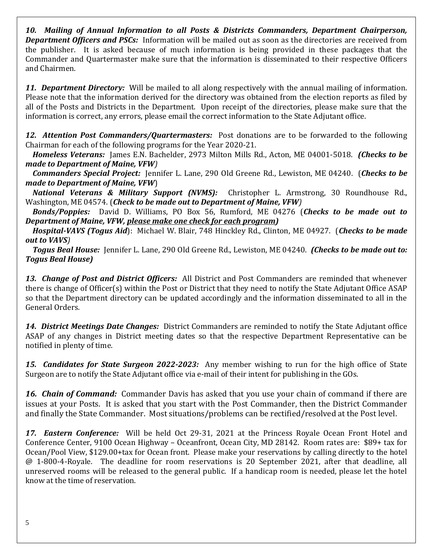*10. Mailing of Annual Information to all Posts & Districts Commanders, Department Chairperson, Department Officers and PSCs:* Information will be mailed out as soon as the directories are received from the publisher. It is asked because of much information is being provided in these packages that the Commander and Quartermaster make sure that the information is disseminated to their respective Officers and Chairmen.

*11. Department Directory:* Will be mailed to all along respectively with the annual mailing of information. Please note that the information derived for the directory was obtained from the election reports as filed by all of the Posts and Districts in the Department. Upon receipt of the directories, please make sure that the information is correct, any errors, please email the correct information to the State Adjutant office.

*12. Attention Post Commanders/Quartermasters:* Post donations are to be forwarded to the following Chairman for each of the following programs for the Year 2020-21.

 *Homeless Veterans:* James E.N. Bachelder, 2973 Milton Mills Rd., Acton, ME 04001-5018. *(Checks to be made to Department of Maine, VFW)*

 *Commanders Special Project:* Jennifer L. Lane, 290 Old Greene Rd., Lewiston, ME 04240. (*Checks to be made to Department of Maine, VFW*)

 *National Veterans & Military Support (NVMS):* Christopher L. Armstrong, 30 Roundhouse Rd., Washington, ME 04574. (*Check to be made out to Department of Maine, VFW)*

 *Bonds/Poppies:* David D. Williams, PO Box 56, Rumford, ME 04276 (*Checks to be made out to Department of Maine, VFW, please make one check for each program)*

 *Hospital-VAVS (Togus Aid*): Michael W. Blair, 748 Hinckley Rd., Clinton, ME 04927. (*Checks to be made out to VAVS)* 

 *Togus Beal House:* Jennifer L. Lane, 290 Old Greene Rd., Lewiston, ME 04240. *(Checks to be made out to: Togus Beal House)*

*13. Change of Post and District Officers:* All District and Post Commanders are reminded that whenever there is change of Officer(s) within the Post or District that they need to notify the State Adjutant Office ASAP so that the Department directory can be updated accordingly and the information disseminated to all in the General Orders.

*14. District Meetings Date Changes:* District Commanders are reminded to notify the State Adjutant office ASAP of any changes in District meeting dates so that the respective Department Representative can be notified in plenty of time.

*15. Candidates for State Surgeon 2022-2023:* Any member wishing to run for the high office of State Surgeon are to notify the State Adjutant office via e-mail of their intent for publishing in the GOs.

*16. Chain of Command:* Commander Davis has asked that you use your chain of command if there are issues at your Posts. It is asked that you start with the Post Commander, then the District Commander and finally the State Commander. Most situations/problems can be rectified/resolved at the Post level.

*17. Eastern Conference:* Will be held Oct 29-31, 2021 at the Princess Royale Ocean Front Hotel and Conference Center, 9100 Ocean Highway – Oceanfront, Ocean City, MD 28142. Room rates are: \$89+ tax for Ocean/Pool View, \$129.00+tax for Ocean front. Please make your reservations by calling directly to the hotel @ 1-800-4-Royale. The deadline for room reservations is 20 September 2021, after that deadline, all unreserved rooms will be released to the general public. If a handicap room is needed, please let the hotel know at the time of reservation.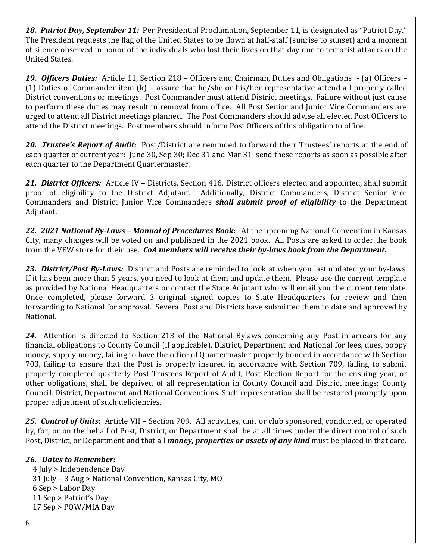*18. Patriot Day, September 11:*Per Presidential Proclamation, September 11, is designated as "Patriot Day." The President requests the flag of the United States to be flown at half-staff (sunrise to sunset) and a moment of silence observed in honor of the individuals who lost their lives on that day due to terrorist attacks on the United States.

*19. Officers Duties:* Article 11, Section 218 – Officers and Chairman, Duties and Obligations - (a) Officers – (1) Duties of Commander item (k) – assure that he/she or his/her representative attend all properly called District conventions or meetings. Post Commander must attend District meetings. Failure without just cause to perform these duties may result in removal from office. All Post Senior and Junior Vice Commanders are urged to attend all District meetings planned. The Post Commanders should advise all elected Post Officers to attend the District meetings. Post members should inform Post Officers of this obligation to office.

*20. Trustee's Report of Audit:* Post/District are reminded to forward their Trustees' reports at the end of each quarter of current year: June 30, Sep 30; Dec 31 and Mar 31; send these reports as soon as possible after each quarter to the Department Quartermaster.

*21. District Officers:* Article IV – Districts, Section 416, District officers elected and appointed, shall submit proof of eligibility to the District Adjutant. Additionally, District Commanders, District Senior Vice Commanders and District Junior Vice Commanders *shall submit proof of eligibility* to the Department Adjutant.

*22. 2021 National By-Laws – Manual of Procedures Book:* At the upcoming National Convention in Kansas City, many changes will be voted on and published in the 2021 book. All Posts are asked to order the book from the VFW store for their use. *CoA members will receive their by-laws book from the Department.*

*23. District/Post By-Laws:* District and Posts are reminded to look at when you last updated your by-laws. If it has been more than 5 years, you need to look at them and update them. Please use the current template as provided by National Headquarters or contact the State Adjutant who will email you the current template. Once completed, please forward 3 original signed copies to State Headquarters for review and then forwarding to National for approval. Several Post and Districts have submitted them to date and approved by National.

*24.* Attention is directed to Section 213 of the National Bylaws concerning any Post in arrears for any financial obligations to County Council (if applicable), District, Department and National for fees, dues, poppy money, supply money, failing to have the office of Quartermaster properly bonded in accordance with Section 703, failing to ensure that the Post is properly insured in accordance with Section 709, failing to submit properly completed quarterly Post Trustees Report of Audit, Post Election Report for the ensuing year, or other obligations, shall be deprived of all representation in County Council and District meetings; County Council, District, Department and National Conventions. Such representation shall be restored promptly upon proper adjustment of such deficiencies.

*25. Control of Units:* Article VII – Section 709. All activities, unit or club sponsored, conducted, or operated by, for, or on the behalf of Post, District, or Department shall be at all times under the direct control of such Post, District, or Department and that all *money, properties or assets of any kind* must be placed in that care.

### *26. Dates to Remember:*

 4 July > Independence Day 31 July – 3 Aug > National Convention, Kansas City, MO 6 Sep > Labor Day 11 Sep > Patriot's Day 17 Sep > POW/MIA Day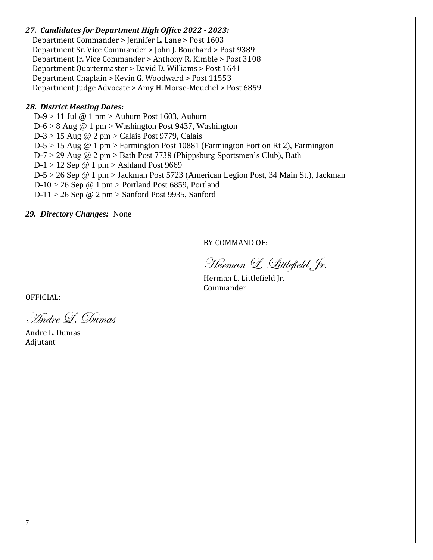### *27. Candidates for Department High Office 2022 - 2023:*

 Department Commander > Jennifer L. Lane > Post 1603 Department Sr. Vice Commander > John J. Bouchard > Post 9389 Department Jr. Vice Commander > Anthony R. Kimble > Post 3108 Department Quartermaster > David D. Williams > Post 1641 Department Chaplain > Kevin G. Woodward > Post 11553 Department Judge Advocate > Amy H. Morse-Meuchel > Post 6859

### *28. District Meeting Dates:*

 D-9 > 11 Jul @ 1 pm > Auburn Post 1603, Auburn  $D-6 > 8$  Aug @ 1 pm > Washington Post 9437, Washington D-3 > 15 Aug @ 2 pm > Calais Post 9779, Calais D-5 > 15 Aug @ 1 pm > Farmington Post 10881 (Farmington Fort on Rt 2), Farmington D-7 > 29 Aug  $\omega$  2 pm > Bath Post 7738 (Phippsburg Sportsmen's Club), Bath  $D-1 > 12$  Sep @ 1 pm > Ashland Post 9669 D-5 > 26 Sep @ 1 pm > Jackman Post 5723 (American Legion Post, 34 Main St.), Jackman  $D-10 > 26$  Sep @ 1 pm > Portland Post 6859, Portland  $D-11 > 26$  Sep @ 2 pm > Sanford Post 9935, Sanford

*29. Directory Changes:* None

BY COMMAND OF:

Herman L. Littlefield, Jr.

Herman L. Littlefield Jr. Commander

OFFICIAL:

Andre L. Dumas

Andre L. Dumas Adjutant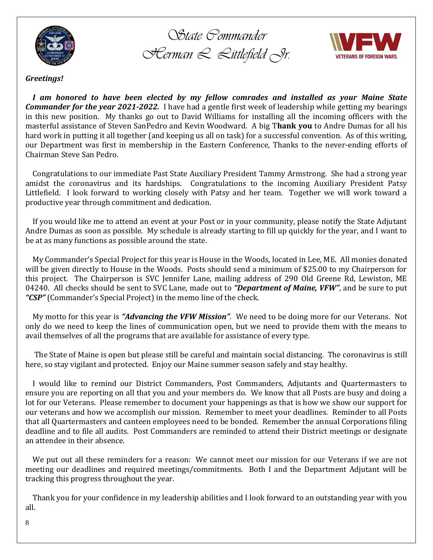

*State Commander Herman L. Littlefield Jr.*



### *Greetings!*

 *I am honored to have been elected by my fellow comrades and installed as your Maine State Commander for the year 2021-2022.* I have had a gentle first week of leadership while getting my bearings in this new position. My thanks go out to David Williams for installing all the incoming officers with the masterful assistance of Steven SanPedro and Kevin Woodward. A big T**hank you** to Andre Dumas for all his hard work in putting it all together (and keeping us all on task) for a successful convention. As of this writing, our Department was first in membership in the Eastern Conference, Thanks to the never-ending efforts of Chairman Steve San Pedro.

 Congratulations to our immediate Past State Auxiliary President Tammy Armstrong. She had a strong year amidst the coronavirus and its hardships. Congratulations to the incoming Auxiliary President Patsy Littlefield. I look forward to working closely with Patsy and her team. Together we will work toward a productive year through commitment and dedication.

 If you would like me to attend an event at your Post or in your community, please notify the State Adjutant Andre Dumas as soon as possible. My schedule is already starting to fill up quickly for the year, and I want to be at as many functions as possible around the state.

 My Commander's Special Project for this year is House in the Woods, located in Lee, ME. All monies donated will be given directly to House in the Woods. Posts should send a minimum of \$25.00 to my Chairperson for this project. The Chairperson is SVC Jennifer Lane, mailing address of 290 Old Greene Rd, Lewiston, ME 04240. All checks should be sent to SVC Lane, made out to *"Department of Maine, VFW"*, and be sure to put *"CSP"* (Commander's Special Project) in the memo line of the check.

 My motto for this year is *"Advancing the VFW Mission"*. We need to be doing more for our Veterans. Not only do we need to keep the lines of communication open, but we need to provide them with the means to avail themselves of all the programs that are available for assistance of every type.

 The State of Maine is open but please still be careful and maintain social distancing. The coronavirus is still here, so stay vigilant and protected. Enjoy our Maine summer season safely and stay healthy.

 I would like to remind our District Commanders, Post Commanders, Adjutants and Quartermasters to ensure you are reporting on all that you and your members do. We know that all Posts are busy and doing a lot for our Veterans. Please remember to document your happenings as that is how we show our support for our veterans and how we accomplish our mission. Remember to meet your deadlines. Reminder to all Posts that all Quartermasters and canteen employees need to be bonded. Remember the annual Corporations filing deadline and to file all audits. Post Commanders are reminded to attend their District meetings or designate an attendee in their absence.

 We put out all these reminders for a reason: We cannot meet our mission for our Veterans if we are not meeting our deadlines and required meetings/commitments. Both I and the Department Adjutant will be tracking this progress throughout the year.

 Thank you for your confidence in my leadership abilities and I look forward to an outstanding year with you all.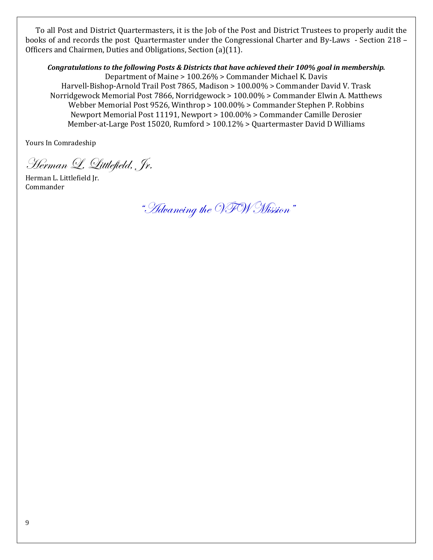To all Post and District Quartermasters, it is the Job of the Post and District Trustees to properly audit the books of and records the post Quartermaster under the Congressional Charter and By-Laws - Section 218 – Officers and Chairmen, Duties and Obligations, Section (a)(11).

*Congratulations to the following Posts & Districts that have achieved their 100% goal in membership.* Department of Maine > 100.26% > Commander Michael K. Davis Harvell-Bishop-Arnold Trail Post 7865, Madison > 100.00% > Commander David V. Trask Norridgewock Memorial Post 7866, Norridgewock > 100.00% > Commander Elwin A. Matthews Webber Memorial Post 9526, Winthrop > 100.00% > Commander Stephen P. Robbins Newport Memorial Post 11191, Newport > 100.00% > Commander Camille Derosier Member-at-Large Post 15020, Rumford > 100.12% > Quartermaster David D Williams

Yours In Comradeship

Herman L. Littlefield, Jr.

Herman L. Littlefield Jr. Commander

"Advancing the VFW Mission"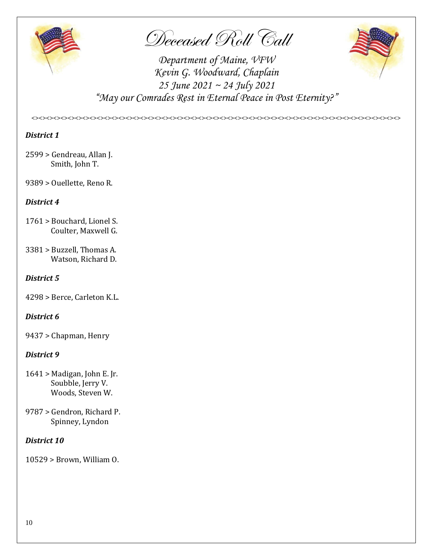

Deceased Roll Call



*Department of Maine, VFW Kevin G. Woodward, Chaplain 25 June 2021 ~ 24 July 2021 "May our Comrades Rest in Eternal Peace in Post Eternity?"*

*<><><><><><><><><><><><><><><><><><><><><><><><><><><><><><><><><><><><><><><><><><><><><><><><><><><>*

### *District 1*

- 2599 > Gendreau, Allan J. Smith, John T.
- 9389 > Ouellette, Reno R.

### *District 4*

- 1761 > Bouchard, Lionel S. Coulter, Maxwell G.
- 3381 > Buzzell, Thomas A. Watson, Richard D.

### *District 5*

4298 > Berce, Carleton K.L.

### *District 6*

9437 > Chapman, Henry

### *District 9*

- 1641 > Madigan, John E. Jr. Soubble, Jerry V. Woods, Steven W.
- 9787 > Gendron, Richard P. Spinney, Lyndon

### *District 10*

10529 > Brown, William O.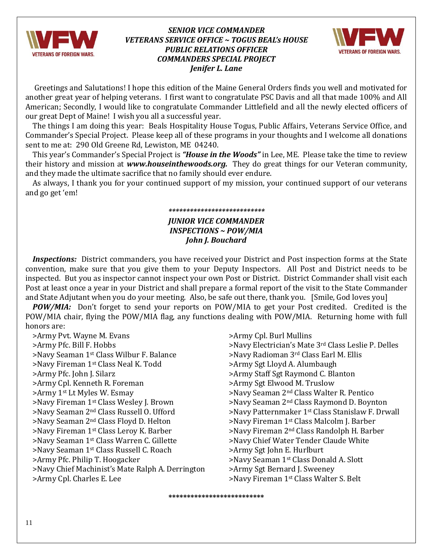

### *SENIOR VICE COMMANDER VETERANS SERVICE OFFICE ~ TOGUS BEAL's HOUSE PUBLIC RELATIONS OFFICER COMMANDERS SPECIAL PROJECT Jenifer L. Lane*



 Greetings and Salutations! I hope this edition of the Maine General Orders finds you well and motivated for another great year of helping veterans. I first want to congratulate PSC Davis and all that made 100% and All American; Secondly, I would like to congratulate Commander Littlefield and all the newly elected officers of our great Dept of Maine! I wish you all a successful year.

 The things I am doing this year: Beals Hospitality House Togus, Public Affairs, Veterans Service Office, and Commander's Special Project. Please keep all of these programs in your thoughts and I welcome all donations sent to me at: 290 Old Greene Rd, Lewiston, ME 04240.

 This year's Commander's Special Project is *"House in the Woods"* in Lee, ME. Please take the time to review their history and mission at *[www.houseinthewoods.org.](http://www.houseinthewoods.org/)* They do great things for our Veteran community, and they made the ultimate sacrifice that no family should ever endure.

 As always, I thank you for your continued support of my mission, your continued support of our veterans and go get 'em!

### *\*\*\*\*\*\*\*\*\*\*\*\*\*\*\*\*\*\*\*\*\*\*\*\*\*\*\**

### *JUNIOR VICE COMMANDER INSPECTIONS ~ POW/MIA John J. Bouchard*

 *Inspections:* District commanders, you have received your District and Post inspection forms at the State convention, make sure that you give them to your Deputy Inspectors. All Post and District needs to be inspected. But you as inspector cannot inspect your own Post or District. District Commander shall visit each Post at least once a year in your District and shall prepare a formal report of the visit to the State Commander and State Adjutant when you do your meeting. Also, be safe out there, thank you. [Smile, God loves you]

**POW/MIA:** Don't forget to send your reports on POW/MIA to get your Post credited. Credited is the POW/MIA chair, flying the POW/MIA flag, any functions dealing with POW/MIA. Returning home with full honors are:

**\*\*\*\*\*\*\*\*\*\*\*\*\*\*\*\*\*\*\*\*\*\*\*\*\*\***

 >Army Pvt. Wayne M. Evans >Army Cpl. Burl Mullins >Army Pfc. Bill F. Hobbs >Navy Electrician's Mate 3rd Class Leslie P. Delles >Navy Seaman 1<sup>st</sup> Class Wilbur F. Balance >Navy Radioman 3<sup>rd</sup> Class Earl M. Ellis >Navy Fireman 1st Class Neal K. Todd >Army Sgt Lloyd A. Alumbaugh >Army Pfc. John J. Silarz >Army Staff Sgt Raymond C. Blanton >Army Cpl. Kenneth R. Foreman >Army Sgt Elwood M. Truslow >Army 1<sup>st</sup> Lt Myles W. Esmay **Xamed 2nd Class Walter R. Pentico** >Navy Seaman 2<sup>nd</sup> Class Walter R. Pentico >Navy Fireman 1st Class Wesley J. Brown >Navy Seaman 2nd Class Raymond D. Boynton >Navy Seaman 2<sup>nd</sup> Class Russell O. Ufford >Navy Patternmaker 1<sup>st</sup> Class Stanislaw F. Drwall >Navy Seaman 2<sup>nd</sup> Class Floyd D. Helton >Navy Fireman 1<sup>st</sup> Class Malcolm J. Barber >Navy Fireman 1<sup>st</sup> Class Leroy K. Barber >Navy Fireman 2<sup>nd</sup> Class Randolph H. Barber >Navy Seaman 1st Class Warren C. Gillette >Navy Chief Water Tender Claude White >Navy Seaman 1st Class Russell C. Roach >Army Sgt John E. Hurlburt >Army Pfc. Philip T. Hoogacker >Navy Seaman 1<sup>st</sup> Class Donald A. Slott >Navy Chief Machinist's Mate Ralph A. Derrington >Army Sgt Bernard J. Sweeney >Army Cpl. Charles E. Lee >Navy Fireman 1st Class Walter S. Belt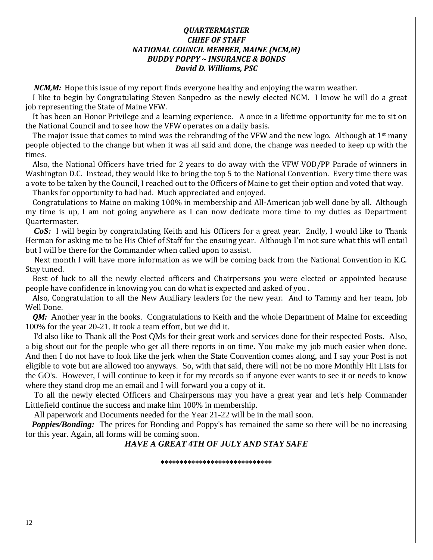### *QUARTERMASTER CHIEF OF STAFF NATIONAL COUNCIL MEMBER, MAINE (NCM,M) BUDDY POPPY ~ INSURANCE & BONDS David D. Williams, PSC*

 *NCM,M:* Hope this issue of my report finds everyone healthy and enjoying the warm weather.

 I like to begin by Congratulating Steven Sanpedro as the newly elected NCM. I know he will do a great job representing the State of Maine VFW.

 It has been an Honor Privilege and a learning experience. A once in a lifetime opportunity for me to sit on the National Council and to see how the VFW operates on a daily basis.

The major issue that comes to mind was the rebranding of the VFW and the new logo. Although at  $1<sup>st</sup>$  many people objected to the change but when it was all said and done, the change was needed to keep up with the times.

 Also, the National Officers have tried for 2 years to do away with the VFW VOD/PP Parade of winners in Washington D.C. Instead, they would like to bring the top 5 to the National Convention. Every time there was a vote to be taken by the Council, I reached out to the Officers of Maine to get their option and voted that way.

Thanks for opportunity to had had. Much appreciated and enjoyed.

 Congratulations to Maine on making 100% in membership and All-American job well done by all. Although my time is up, I am not going anywhere as I can now dedicate more time to my duties as Department Quartermaster.

 *CoS:* I will begin by congratulating Keith and his Officers for a great year. 2ndly, I would like to Thank Herman for asking me to be His Chief of Staff for the ensuing year. Although I'm not sure what this will entail but I will be there for the Commander when called upon to assist.

 Next month I will have more information as we will be coming back from the National Convention in K.C. Stay tuned.

 Best of luck to all the newly elected officers and Chairpersons you were elected or appointed because people have confidence in knowing you can do what is expected and asked of you .

 Also, Congratulation to all the New Auxiliary leaders for the new year. And to Tammy and her team, Job Well Done.

*QM:* Another year in the books. Congratulations to Keith and the whole Department of Maine for exceeding 100% for the year 20-21. It took a team effort, but we did it.

 I'd also like to Thank all the Post QMs for their great work and services done for their respected Posts. Also, a big shout out for the people who get all there reports in on time. You make my job much easier when done. And then I do not have to look like the jerk when the State Convention comes along, and I say your Post is not eligible to vote but are allowed too anyways. So, with that said, there will not be no more Monthly Hit Lists for the GO's. However, I will continue to keep it for my records so if anyone ever wants to see it or needs to know where they stand drop me an email and I will forward you a copy of it.

 To all the newly elected Officers and Chairpersons may you have a great year and let's help Commander Littlefield continue the success and make him 100% in membership.

All paperwork and Documents needed for the Year 21-22 will be in the mail soon.

*Poppies/Bonding:* The prices for Bonding and Poppy's has remained the same so there will be no increasing for this year. Again, all forms will be coming soon.

### *HAVE A GREAT 4TH OF JULY AND STAY SAFE*

**\*\*\*\*\*\*\*\*\*\*\*\*\*\*\*\*\*\*\*\*\*\*\*\*\*\*\*\*\***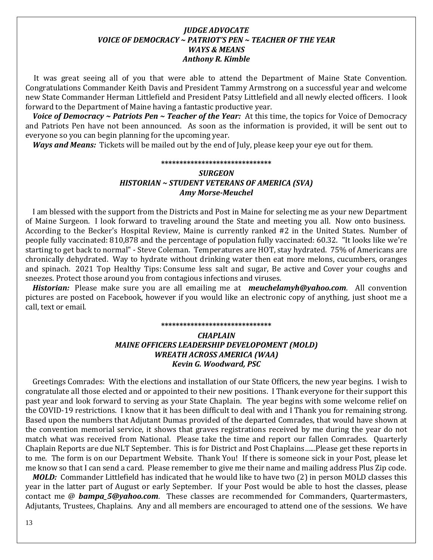### *JUDGE ADVOCATE VOICE OF DEMOCRACY ~ PATRIOT'S PEN ~ TEACHER OF THE YEAR WAYS & MEANS Anthony R. Kimble*

 It was great seeing all of you that were able to attend the Department of Maine State Convention. Congratulations Commander Keith Davis and President Tammy Armstrong on a successful year and welcome new State Commander Herman Littlefield and President Patsy Littlefield and all newly elected officers. I look forward to the Department of Maine having a fantastic productive year.

*Voice of Democracy ~ Patriots Pen ~ Teacher of the Year:* At this time, the topics for Voice of Democracy and Patriots Pen have not been announced. As soon as the information is provided, it will be sent out to everyone so you can begin planning for the upcoming year.

 *Ways and Means:* Tickets will be mailed out by the end of July, please keep your eye out for them.

#### **\*\*\*\*\*\*\*\*\*\*\*\*\*\*\*\*\*\*\*\*\*\*\*\*\*\*\*\*\*\*** *SURGEON*

### *HISTORIAN ~ STUDENT VETERANS OF AMERICA (SVA) Amy Morse-Meuchel*

 I am blessed with the support from the Districts and Post in Maine for selecting me as your new Department of Maine Surgeon. I look forward to traveling around the State and meeting you all. Now onto business. According to the Becker's Hospital Review, Maine is currently ranked #2 in the United States. Number of people fully vaccinated: 810,878 and the percentage of population fully vaccinated: 60.32. "It looks like we're starting to get back to normal" - Steve Coleman. Temperatures are HOT, stay hydrated. 75% of Americans are chronically dehydrated. Way to hydrate without drinking water then eat more melons, cucumbers, oranges and spinach. 2021 Top Healthy Tips: Consume less salt and sugar, Be active and Cover your coughs and sneezes. Protect those around you from contagious infections and viruses.

 *Historian:* Please make sure you are all emailing me at *[meuchelamyh@yahoo.com](mailto:meuchelamyh@yahoo.com)*. All convention pictures are posted on Facebook, however if you would like an electronic copy of anything, just shoot me a call, text or email.

#### **\*\*\*\*\*\*\*\*\*\*\*\*\*\*\*\*\*\*\*\*\*\*\*\*\*\*\*\*\*\***

### *CHAPLAIN MAINE OFFICERS LEADERSHIP DEVELOPOMENT (MOLD) WREATH ACROSS AMERICA (WAA) Kevin G. Woodward, PSC*

 Greetings Comrades: With the elections and installation of our State Officers, the new year begins. I wish to congratulate all those elected and or appointed to their new positions. I Thank everyone for their support this past year and look forward to serving as your State Chaplain. The year begins with some welcome relief on the COVID-19 restrictions. I know that it has been difficult to deal with and I Thank you for remaining strong. Based upon the numbers that Adjutant Dumas provided of the departed Comrades, that would have shown at the convention memorial service, it shows that graves registrations received by me during the year do not match what was received from National. Please take the time and report our fallen Comrades. Quarterly Chaplain Reports are due NLT September. This is for District and Post Chaplains…...Please get these reports in to me. The form is on our Department Website. Thank You! If there is someone sick in your Post, please let me know so that I can send a card. Please remember to give me their name and mailing address Plus Zip code.

 *MOLD:* Commander Littlefield has indicated that he would like to have two (2) in person MOLD classes this year in the latter part of August or early September. If your Post would be able to host the classes, please contact me @ *[bampa\\_5@yahoo.com](mailto:bampa_5@yahoo.com)*. These classes are recommended for Commanders, Quartermasters, Adjutants, Trustees, Chaplains. Any and all members are encouraged to attend one of the sessions. We have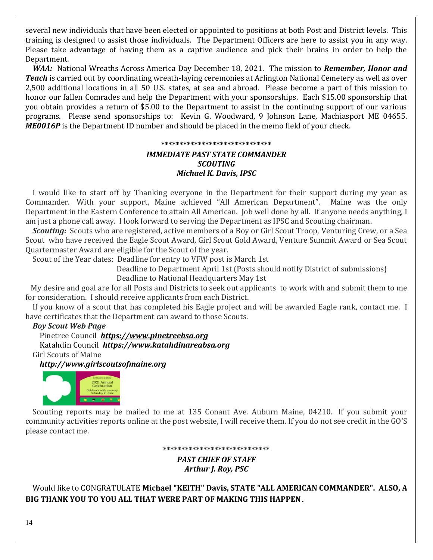several new individuals that have been elected or appointed to positions at both Post and District levels. This training is designed to assist those individuals. The Department Officers are here to assist you in any way. Please take advantage of having them as a captive audience and pick their brains in order to help the Department.

 *WAA:* National Wreaths Across America Day December 18, 2021. The mission to *Remember, Honor and Teach* is carried out by coordinating wreath-laying ceremonies at Arlington National Cemetery as well as over 2,500 additional locations in all 50 U.S. states, at sea and abroad. Please become a part of this mission to honor our fallen Comrades and help the Department with your sponsorships. Each \$15.00 sponsorship that you obtain provides a return of \$5.00 to the Department to assist in the continuing support of our various programs. Please send sponsorships to: Kevin G. Woodward, 9 Johnson Lane, Machiasport ME 04655. *ME0016P* is the Department ID number and should be placed in the memo field of your check.

### **\*\*\*\*\*\*\*\*\*\*\*\*\*\*\*\*\*\*\*\*\*\*\*\*\*\*\*\*\*\*** *IMMEDIATE PAST STATE COMMANDER SCOUTING Michael K. Davis, IPSC*

 I would like to start off by Thanking everyone in the Department for their support during my year as Commander. With your support, Maine achieved "All American Department". Maine was the only Department in the Eastern Conference to attain All American. Job well done by all. If anyone needs anything, I am just a phone call away. I look forward to serving the Department as IPSC and Scouting chairman.

 *Scouting:* Scouts who are registered, active members of a Boy or Girl Scout Troop, Venturing Crew, or a Sea Scout who have received the Eagle Scout Award, Girl Scout Gold Award, Venture Summit Award or Sea Scout Quartermaster Award are eligible for the Scout of the year.

Scout of the Year dates: Deadline for entry to VFW post is March 1st

Deadline to Department April 1st (Posts should notify District of submissions)

Deadline to National Headquarters May 1st

 My desire and goal are for all Posts and Districts to seek out applicants to work with and submit them to me for consideration. I should receive applicants from each District.

 If you know of a scout that has completed his Eagle project and will be awarded Eagle rank, contact me. I have certificates that the Department can award to those Scouts.

### *Boy Scout Web Page*

Pinetree Council *[https://www.pinetreebsa.org](https://www.pinetreebsa.org/)* Katahdin Council *[https://www.katahdinareabsa.org](https://www.katahdinareabsa.org/)* Girl Scouts of Maine

*[http://www.girlscoutsofmaine.org](http://www.girlscoutsofmaine.org/)*



Scouting reports may be mailed to me at 135 Conant Ave. Auburn Maine, 04210. If you submit your community activities reports online at the post website, I will receive them. If you do not see credit in the GO'S please contact me.

#### **\*\*\*\*\*\*\*\*\*\*\*\*\*\*\*\*\*\*\*\*\*\*\*\*\*\*\*\*\***

*PAST CHIEF OF STAFF Arthur J. Roy, PSC*

 Would like to CONGRATULATE **Michael "KEITH" Davis, STATE "ALL AMERICAN COMMANDER". ALSO, A BIG THANK YOU TO YOU ALL THAT WERE PART OF MAKING THIS HAPPEN.**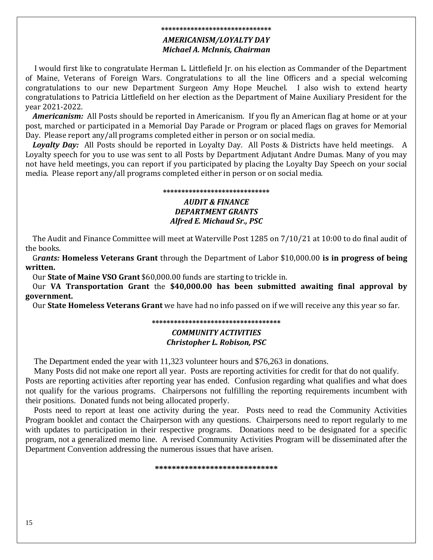### **\*\*\*\*\*\*\*\*\*\*\*\*\*\*\*\*\*\*\*\*\*\*\*\*\*\*\*\*\*\*** *AMERICANISM/LOYALTY DAY Michael A. McInnis, Chairman*

 I would first like to congratulate Herman L. Littlefield Jr. on his election as Commander of the Department of Maine, Veterans of Foreign Wars. Congratulations to all the line Officers and a special welcoming congratulations to our new Department Surgeon Amy Hope Meuchel. I also wish to extend hearty congratulations to Patricia Littlefield on her election as the Department of Maine Auxiliary President for the year 2021-2022.

 *Americanism:* All Posts should be reported in Americanism. If you fly an American flag at home or at your post, marched or participated in a Memorial Day Parade or Program or placed flags on graves for Memorial Day. Please report any/all programs completed either in person or on social media.

 *Loyalty Day:* All Posts should be reported in Loyalty Day. All Posts & Districts have held meetings. A Loyalty speech for you to use was sent to all Posts by Department Adjutant Andre Dumas. Many of you may not have held meetings, you can report if you participated by placing the Loyalty Day Speech on your social media. Please report any/all programs completed either in person or on social media.

### **\*\*\*\*\*\*\*\*\*\*\*\*\*\*\*\*\*\*\*\*\*\*\*\*\*\*\*\*\***

### *AUDIT & FINANCE DEPARTMENT GRANTS Alfred E. Michaud Sr., PSC*

 The Audit and Finance Committee will meet at Waterville Post 1285 on 7/10/21 at 10:00 to do final audit of the books.

 G*rants:* **Homeless Veterans Grant** through the Department of Labor \$10,000.00 **is in progress of being written.**

Our **State of Maine VSO Grant** \$60,000.00 funds are starting to trickle in.

 Our **VA Transportation Grant** the **\$40,000.00 has been submitted awaiting final approval by government.** 

Our **State Homeless Veterans Grant** we have had no info passed on if we will receive any this year so far.

### **\*\*\*\*\*\*\*\*\*\*\*\*\*\*\*\*\*\*\*\*\*\*\*\*\*\*\*\*\*\*\*\*\*\*\***

### *COMMUNITY ACTIVITIES Christopher L. Robison, PSC*

The Department ended the year with 11,323 volunteer hours and \$76,263 in donations.

 Many Posts did not make one report all year. Posts are reporting activities for credit for that do not qualify. Posts are reporting activities after reporting year has ended. Confusion regarding what qualifies and what does not qualify for the various programs. Chairpersons not fulfilling the reporting requirements incumbent with their positions. Donated funds not being allocated properly.

 Posts need to report at least one activity during the year. Posts need to read the Community Activities Program booklet and contact the Chairperson with any questions. Chairpersons need to report regularly to me with updates to participation in their respective programs. Donations need to be designated for a specific program, not a generalized memo line. A revised Community Activities Program will be disseminated after the Department Convention addressing the numerous issues that have arisen.

**\*\*\*\*\*\*\*\*\*\*\*\*\*\*\*\*\*\*\*\*\*\*\*\*\*\*\*\*\***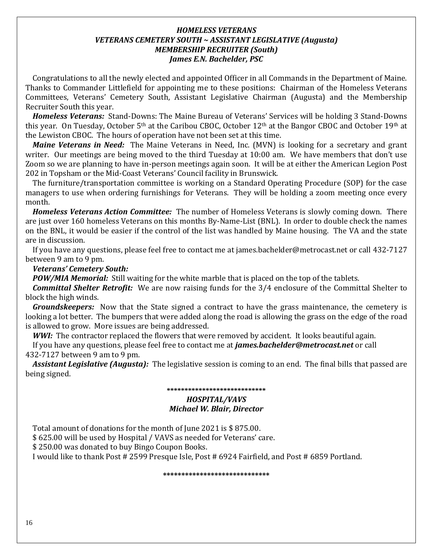### *HOMELESS VETERANS VETERANS CEMETERY SOUTH ~ ASSISTANT LEGISLATIVE (Augusta) MEMBERSHIP RECRUITER (South) James E.N. Bachelder, PSC*

 Congratulations to all the newly elected and appointed Officer in all Commands in the Department of Maine. Thanks to Commander Littlefield for appointing me to these positions: Chairman of the Homeless Veterans Committees, Veterans' Cemetery South, Assistant Legislative Chairman (Augusta) and the Membership Recruiter South this year.

 *Homeless Veterans:* Stand-Downs: The Maine Bureau of Veterans' Services will be holding 3 Stand-Downs this year. On Tuesday, October 5<sup>th</sup> at the Caribou CBOC, October 12<sup>th</sup> at the Bangor CBOC and October 19<sup>th</sup> at the Lewiston CBOC. The hours of operation have not been set at this time.

 *Maine Veterans in Need:* The Maine Veterans in Need, Inc. (MVN) is looking for a secretary and grant writer. Our meetings are being moved to the third Tuesday at 10:00 am. We have members that don't use Zoom so we are planning to have in-person meetings again soon. It will be at either the American Legion Post 202 in Topsham or the Mid-Coast Veterans' Council facility in Brunswick.

 The furniture/transportation committee is working on a Standard Operating Procedure (SOP) for the case managers to use when ordering furnishings for Veterans. They will be holding a zoom meeting once every month.

 *Homeless Veterans Action Committee:* The number of Homeless Veterans is slowly coming down. There are just over 160 homeless Veterans on this months By-Name-List (BNL). In order to double check the names on the BNL, it would be easier if the control of the list was handled by Maine housing. The VA and the state are in discussion.

 If you have any questions, please feel free to contact me at james.bachelder@metrocast.net or call 432-7127 between 9 am to 9 pm.

### *Veterans' Cemetery South:*

*POW/MIA Memorial:* Still waiting for the white marble that is placed on the top of the tablets.

 *Committal Shelter Retrofit:* We are now raising funds for the 3/4 enclosure of the Committal Shelter to block the high winds.

 *Groundskeepers:* Now that the State signed a contract to have the grass maintenance, the cemetery is looking a lot better. The bumpers that were added along the road is allowing the grass on the edge of the road is allowed to grow. More issues are being addressed.

*WWI:* The contractor replaced the flowers that were removed by accident. It looks beautiful again. If you have any questions, please feel free to contact me at *james.bachelder@metrocast.net* or call 432-7127 between 9 am to 9 pm.

 *Assistant Legislative (Augusta):* The legislative session is coming to an end. The final bills that passed are being signed.

#### **\*\*\*\*\*\*\*\*\*\*\*\*\*\*\*\*\*\*\*\*\*\*\*\*\*\*\*\***

### *HOSPITAL/VAVS Michael W. Blair, Director*

Total amount of donations for the month of June 2021 is \$ 875.00.

\$ 625.00 will be used by Hospital / VAVS as needed for Veterans' care.

\$ 250.00 was donated to buy Bingo Coupon Books.

I would like to thank Post # 2599 Presque Isle, Post # 6924 Fairfield, and Post # 6859 Portland.

**\*\*\*\*\*\*\*\*\*\*\*\*\*\*\*\*\*\*\*\*\*\*\*\*\*\*\*\*\***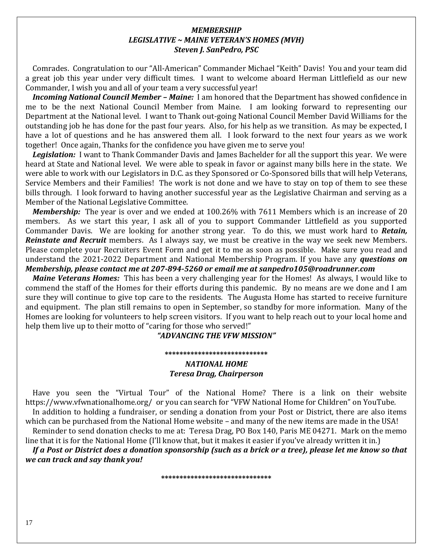### *MEMBERSHIP LEGISLATIVE ~ MAINE VETERAN'S HOMES (MVH) Steven J. SanPedro, PSC*

 Comrades. Congratulation to our "All-American" Commander Michael "Keith" Davis! You and your team did a great job this year under very difficult times. I want to welcome aboard Herman Littlefield as our new Commander, I wish you and all of your team a very successful year!

*Incoming National Council Member – Maine:* I am honored that the Department has showed confidence in me to be the next National Council Member from Maine. I am looking forward to representing our Department at the National level. I want to Thank out-going National Council Member David Williams for the outstanding job he has done for the past four years. Also, for his help as we transition. As may be expected, I have a lot of questions and he has answered them all. I look forward to the next four years as we work together! Once again, Thanks for the confidence you have given me to serve you!

*Legislation:*I want to Thank Commander Davis and James Bachelder for all the support this year. We were heard at State and National level. We were able to speak in favor or against many bills here in the state. We were able to work with our Legislators in D.C. as they Sponsored or Co-Sponsored bills that will help Veterans, Service Members and their Families! The work is not done and we have to stay on top of them to see these bills through. I look forward to having another successful year as the Legislative Chairman and serving as a Member of the National Legislative Committee.

 *Membership:* The year is over and we ended at 100.26% with 7611 Members which is an increase of 20 members. As we start this year, I ask all of you to support Commander Littlefield as you supported Commander Davis. We are looking for another strong year. To do this, we must work hard to *Retain, Reinstate and Recruit* members. As I always say, we must be creative in the way we seek new Members. Please complete your Recruiters Event Form and get it to me as soon as possible. Make sure you read and understand the 2021-2022 Department and National Membership Program. If you have any *questions on Membership, please contact me at 207-894-5260 or email me at sanpedro105@roadrunner.com*

*Maine Veterans Homes:*This has been a very challenging year for the Homes! As always, I would like to commend the staff of the Homes for their efforts during this pandemic. By no means are we done and I am sure they will continue to give top care to the residents. The Augusta Home has started to receive furniture and equipment. The plan still remains to open in September, so standby for more information. Many of the Homes are looking for volunteers to help screen visitors. If you want to help reach out to your local home and help them live up to their motto of "caring for those who served!"

### *"ADVANCING THE VFW MISSION"*

#### **\*\*\*\*\*\*\*\*\*\*\*\*\*\*\*\*\*\*\*\*\*\*\*\*\*\*\*\***

### *NATIONAL HOME Teresa Drag, Chairperson*

 Have you seen the "Virtual Tour" of the National Home? There is a link on their website https://www.vfwnationalhome.org/ or you can search for "VFW National Home for Children" on YouTube. In addition to holding a fundraiser, or sending a donation from your Post or District, there are also items

which can be purchased from the National Home website – and many of the new items are made in the USA! Reminder to send donation checks to me at: Teresa Drag, PO Box 140, Paris ME 04271. Mark on the memo

line that it is for the National Home (I'll know that, but it makes it easier if you've already written it in.) *If a Post or District does a donation sponsorship (such as a brick or a tree), please let me know so that we can track and say thank you!*

**\*\*\*\*\*\*\*\*\*\*\*\*\*\*\*\*\*\*\*\*\*\*\*\*\*\*\*\*\*\***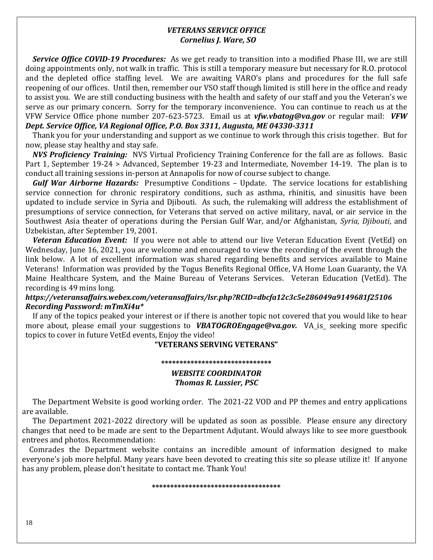### *VETERANS SERVICE OFFICE Cornelius J. Ware, SO*

 *Service Office COVID-19 Procedures:* As we get ready to transition into a modified Phase III, we are still doing appointments only, not walk in traffic. This is still a temporary measure but necessary for R.O. protocol and the depleted office staffing level. We are awaiting VARO's plans and procedures for the full safe reopening of our offices. Until then, remember our VSO staff though limited is still here in the office and ready to assist you. We are still conducting business with the health and safety of our staff and you the Veteran's we serve as our primary concern. Sorry for the temporary inconvenience. You can continue to reach us at the VFW Service Office phone number 207-623-5723. Email us at *[vfw.vbatog@va.gov](mailto:vfw.vbatog@va.gov)* or regular mail: *VFW Dept. Service Office, VA Regional Office, P.O. Box 3311, Augusta, ME 04330-3311*

 Thank you for your understanding and support as we continue to work through this crisis together. But for now, please stay healthy and stay safe.

 *NVS Proficiency Training:* NVS Virtual Proficiency Training Conference for the fall are as follows. Basic Part 1, September 19-24 > Advanced, September 19-23 and Intermediate, November 14-19. The plan is to conduct all training sessions in-person at Annapolis for now of course subject to change.

 *Gulf War Airborne Hazards:* Presumptive Conditions – Update. The service locations for establishing service connection for chronic respiratory conditions, such as asthma, rhinitis, and sinusitis have been updated to include service in Syria and Djibouti. As such, the rulemaking will address the establishment of presumptions of service connection, for Veterans that served on active military, naval, or air service in the Southwest Asia theater of operations during the Persian Gulf War, and/or Afghanistan, *Syria, Djibouti*, and Uzbekistan, after September 19, 2001.

 *Veteran Education Event:* If you were not able to attend our live Veteran Education Event (VetEd) on Wednesday, June 16, 2021, you are welcome and encouraged to view the recording of the event through the link below. A lot of excellent information was shared regarding benefits and services available to Maine Veterans! Information was provided by the Togus Benefits Regional Office, VA Home Loan Guaranty, the VA Maine Healthcare System, and the Maine Bureau of Veterans Services. Veteran Education (VetEd). The recording is 49 mins long.

### *[https://veteransaffairs.webex.com/veteransaffairs/lsr.php?RCID=dbcfa12c3c5e286049a9149681f25106](https://gcc02.safelinks.protection.outlook.com/?url=https%3A%2F%2Fveteransaffairs.webex.com%2Fveteransaffairs%2Flsr.php%3FRCID%3Ddbcfa12c3c5e286049a9149681f25106&data=04%7C01%7C%7C0ac8ab98f68d4c6c1dff08d936588b5f%7Ce95f1b23abaf45ee821db7ab251ab3bf%7C0%7C0%7C637600576184037253%7CUnknown%7CTWFpbGZsb3d8eyJWIjoiMC4wLjAwMDAiLCJQIjoiV2luMzIiLCJBTiI6Ik1haWwiLCJXVCI6Mn0%3D%7C1000&sdata=klvpVh1opyGdN7jrzGEoCEiKhqBFflihscOBbsLt5%2BY%3D&reserved=0) Recording Password: mTmXi4u\**

 If any of the topics peaked your interest or if there is another topic not covered that you would like to hear more about, please email your suggestions to **[VBATOGROEngage@va.gov.](mailto:VBATOGROEngage@va.gov)** VA\_is\_ seeking more specific topics to cover in future VetEd events, Enjoy the video!

### **"VETERANS SERVING VETERANS"**

### **\*\*\*\*\*\*\*\*\*\*\*\*\*\*\*\*\*\*\*\*\*\*\*\*\*\*\*\*\*\*** *WEBSITE COORDINATOR Thomas R. Lussier, PSC*

 The Department Website is good working order. The 2021-22 VOD and PP themes and entry applications are available.

 The Department 2021-2022 directory will be updated as soon as possible. Please ensure any directory changes that need to be made are sent to the Department Adjutant. Would always like to see more guestbook entrees and photos. Recommendation:

 Comrades the Department website contains an incredible amount of information designed to make everyone's job more helpful. Many years have been devoted to creating this site so please utilize it! If anyone has any problem, please don't hesitate to contact me. Thank You!

**\*\*\*\*\*\*\*\*\*\*\*\*\*\*\*\*\*\*\*\*\*\*\*\*\*\*\*\*\*\*\*\*\*\*\***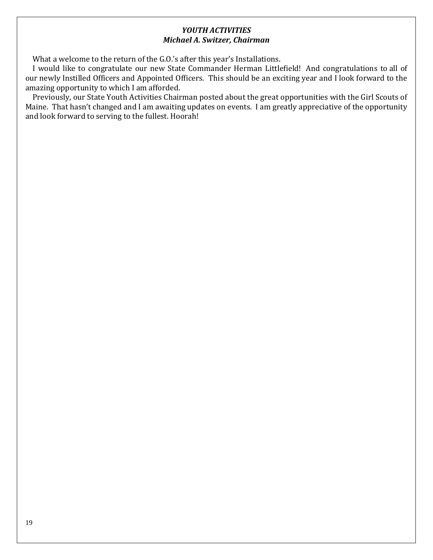### *YOUTH ACTIVITIES Michael A. Switzer, Chairman*

What a welcome to the return of the G.O.'s after this year's Installations.

 I would like to congratulate our new State Commander Herman Littlefield! And congratulations to all of our newly Instilled Officers and Appointed Officers. This should be an exciting year and I look forward to the amazing opportunity to which I am afforded.

 Previously, our State Youth Activities Chairman posted about the great opportunities with the Girl Scouts of Maine. That hasn't changed and I am awaiting updates on events. I am greatly appreciative of the opportunity and look forward to serving to the fullest. Hoorah!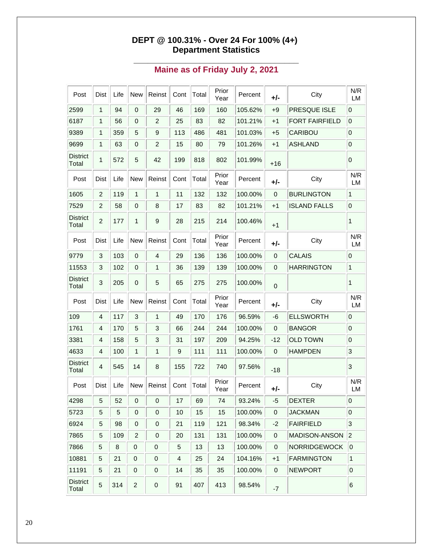### **DEPT @ 100.31% - Over 24 For 100% (4+) Department Statistics**

|  | Maine as of Friday July 2, 2021 |  |
|--|---------------------------------|--|

| Post                     | Dist           | Life | New                     | Reinst           | Cont | Total | Prior<br>Year | Percent     | +/-       | City                  | N/R<br>LM           |
|--------------------------|----------------|------|-------------------------|------------------|------|-------|---------------|-------------|-----------|-----------------------|---------------------|
| 2599                     | 1              | 94   | $\mathbf{0}$            | 29               | 46   | 169   | 160           | 105.62%     | $+9$      | PRESQUE ISLE          | $\mathbf 0$         |
| 6187                     | 1              | 56   | $\mathbf 0$             | 2                | 25   | 83    | 82            | 101.21%     | $+1$      | <b>FORT FAIRFIELD</b> | $\boldsymbol{0}$    |
| 9389                     | 1              | 359  | 5                       | 9                | 113  | 486   | 481           | 101.03%     | +5        | CARIBOU               | 0                   |
| 9699                     | 1              | 63   | $\mathbf 0$             | $\overline{c}$   | 15   | 80    | 79            | 101.26%     | $+1$      | <b>ASHLAND</b>        | $\mathbf 0$         |
| <b>District</b><br>Total | 1              | 572  | 5                       | 42               | 199  | 818   | 802           | 101.99%     | $+16$     |                       | $\mathbf 0$         |
| Post                     | <b>Dist</b>    | Life | New                     | Reinst           | Cont | Total | Prior<br>Year | Percent     | +/-       | City                  | N/R<br><b>LM</b>    |
| 1605                     | $\overline{2}$ | 119  | 1                       | $\mathbf{1}$     | 11   | 132   | 132           | 100.00%     | 0         | <b>BURLINGTON</b>     | 1                   |
| 7529                     | $\overline{c}$ | 58   | 0                       | 8                | 17   | 83    | 82            | 101.21%     | $+1$      | <b>ISLAND FALLS</b>   | 0                   |
| <b>District</b><br>Total | $\overline{c}$ | 177  | 1                       | 9                | 28   | 215   | 214           | 100.46%     | $+1$      |                       | 1                   |
| Post                     | Dist           | Life | <b>New</b>              | Reinst           | Cont | Total | Prior<br>Year | Percent     | +/-       | City                  | N/R<br><b>LM</b>    |
| 9779                     | 3              | 103  | 0                       | 4                | 29   | 136   | 136           | 100.00%     | 0         | <b>CALAIS</b>         | 0                   |
| 11553                    | 3              | 102  | 0                       | 1                | 36   | 139   | 139           | 100.00%     | 0         | <b>HARRINGTON</b>     | $\mathbf{1}$        |
| <b>District</b><br>Total | 3              | 205  | 0                       | 5                | 65   | 275   | 275           | 100.00%     | 0         |                       | 1                   |
| Post                     | Dist           | Life | New                     | Reinst           | Cont | Total | Prior<br>Year | Percent     | +/-       | City                  | N/R<br>LM           |
| 109                      | 4              | 117  | 3                       | $\mathbf{1}$     | 49   | 170   | 176           | 96.59%      | -6        | <b>ELLSWORTH</b>      | 0                   |
| 1761                     | 4              | 170  | 5                       | 3                | 66   | 244   | 244           | 100.00%     | 0         | <b>BANGOR</b>         | $\mathbf 0$         |
| 3381                     | 4              | 158  | 5                       | 3                | 31   | 197   | 209           | 94.25%      | $-12$     | <b>OLD TOWN</b>       | $\mathbf 0$         |
| 4633                     | 4              | 100  | 1                       | 1                | 9    | 111   | 111           | 100.00%     | 0         | <b>HAMPDEN</b>        | 3                   |
| <b>District</b><br>Total | 4              | 545  | 14                      | 8                | 155  | 722   | 740           | 97.56%      | -18       |                       | 3                   |
| Post                     | Dist           | Life | <b>New</b>              | Reinst           | Cont | Total | Prior<br>Year | Percent     | +/-       | City                  | N/R<br>LM           |
| 4298                     | $\overline{5}$ | 52   | $\boldsymbol{0}$        | $\boldsymbol{0}$ | 17   | 69    | 74            | $ 93.24\% $ | $-5$      | DEXTER                | 0                   |
| 5723                     | 5              | 5    | 0                       | 0                | 10   | 15    | 15            | 100.00%     | 0         | <b>JACKMAN</b>        | 0                   |
| 6924                     | 5              | 98   | $\pmb{0}$               | $\pmb{0}$        | 21   | 119   | 121           | 98.34%      | $-2$      | <b>FAIRFIELD</b>      | 3                   |
| 7865                     | 5              | 109  | $\overline{\mathbf{c}}$ | $\pmb{0}$        | 20   | 131   | 131           | 100.00%     | 0         | MADISON-ANSON         | $ 2\rangle$         |
| 7866                     | 5              | 8    | $\boldsymbol{0}$        | 0                | 5    | 13    | 13            | 100.00%     | 0         | <b>NORRIDGEWOCK</b>   | 0                   |
| 10881                    | 5              | 21   | $\pmb{0}$               | 0                | 4    | 25    | 24            | 104.16%     | $+1$      | <b>FARMINGTON</b>     | $\mathbf{1}$        |
| 11191                    | 5              | 21   | $\pmb{0}$               | 0                | 14   | 35    | 35            | 100.00%     | $\pmb{0}$ | <b>NEWPORT</b>        | $\mathsf{O}\xspace$ |
| <b>District</b><br>Total | 5              | 314  | $\overline{\mathbf{c}}$ | 0                | 91   | 407   | 413           | 98.54%      | $-7$      |                       | 6                   |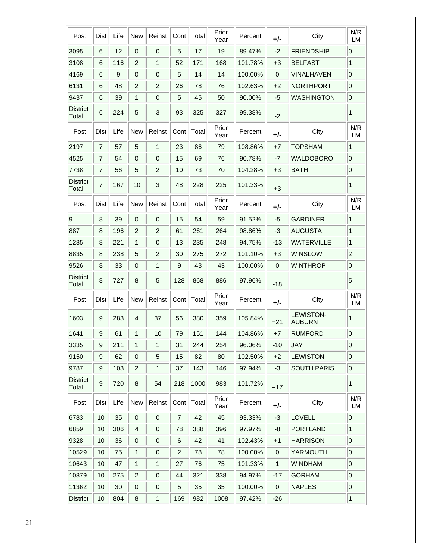| Post                     | Dist           | Life | <b>New</b>     | Reinst           | Cont           | Total | Prior<br>Year | Percent | +/-          | City                              | N/R<br><b>LM</b> |
|--------------------------|----------------|------|----------------|------------------|----------------|-------|---------------|---------|--------------|-----------------------------------|------------------|
| 3095                     | 6              | 12   | $\mathbf 0$    | $\mathbf{0}$     | 5              | 17    | 19            | 89.47%  | $-2$         | <b>FRIENDSHIP</b>                 | $\overline{0}$   |
| 3108                     | 6              | 116  | $\overline{c}$ | 1                | 52             | 171   | 168           | 101.78% | $+3$         | <b>BELFAST</b>                    | 1                |
| 4169                     | 6              | 9    | 0              | 0                | 5              | 14    | 14            | 100.00% | 0            | <b>VINALHAVEN</b>                 | $\overline{0}$   |
| 6131                     | 6              | 48   | $\overline{c}$ | $\overline{c}$   | 26             | 78    | 76            | 102.63% | $+2$         | <b>NORTHPORT</b>                  | $\overline{0}$   |
| 9437                     | 6              | 39   | 1              | 0                | 5              | 45    | 50            | 90.00%  | -5           | <b>WASHINGTON</b>                 | $\overline{0}$   |
| <b>District</b><br>Total | 6              | 224  | 5              | 3                | 93             | 325   | 327           | 99.38%  | $-2$         |                                   | 1                |
| Post                     | <b>Dist</b>    | Life | <b>New</b>     | Reinst           | Cont           | Total | Prior<br>Year | Percent | +/-          | City                              | N/R<br>LM        |
| 2197                     | 7              | 57   | 5              | 1                | 23             | 86    | 79            | 108.86% | +7           | <b>TOPSHAM</b>                    | 1                |
| 4525                     | $\overline{7}$ | 54   | 0              | 0                | 15             | 69    | 76            | 90.78%  | -7           | WALDOBORO                         | $\overline{0}$   |
| 7738                     | $\overline{7}$ | 56   | 5              | $\overline{c}$   | 10             | 73    | 70            | 104.28% | $+3$         | <b>BATH</b>                       | $\overline{0}$   |
| <b>District</b><br>Total | $\overline{7}$ | 167  | 10             | 3                | 48             | 228   | 225           | 101.33% | $+3$         |                                   | 1                |
| Post                     | Dist           | Life | <b>New</b>     | Reinst           | Cont           | Total | Prior<br>Year | Percent | +/-          | City                              | N/R<br><b>LM</b> |
| 9                        | 8              | 39   | 0              | 0                | 15             | 54    | 59            | 91.52%  | -5           | <b>GARDINER</b>                   | 1                |
| 887                      | 8              | 196  | $\overline{2}$ | $\overline{2}$   | 61             | 261   | 264           | 98.86%  | -3           | <b>AUGUSTA</b>                    | 1                |
| 1285                     | 8              | 221  | 1              | 0                | 13             | 235   | 248           | 94.75%  | -13          | <b>WATERVILLE</b>                 | 1                |
| 8835                     | 8              | 238  | 5              | $\overline{c}$   | 30             | 275   | 272           | 101.10% | $+3$         | <b>WINSLOW</b>                    | $\overline{2}$   |
| 9526                     | 8              | 33   | 0              | 1                | 9              | 43    | 43            | 100.00% | 0            | <b>WINTHROP</b>                   | $\overline{0}$   |
| District<br>Total        | 8              | 727  | 8              | 5                | 128            | 868   | 886           | 97.96%  | $-18$        |                                   | 5                |
| Post                     | Dist           | Life | <b>New</b>     | Reinst           | Cont           | Total | Prior<br>Year | Percent | +/-          | City                              | N/R<br>LM        |
| 1603                     | 9              | 283  | 4              | 37               | 56             | 380   | 359           | 105.84% | $+21$        | <b>LEWISTON-</b><br><b>AUBURN</b> | 1                |
| 1641                     | 9              | 61   | 1              | 10               | 79             | 151   | 144           | 104.86% | $+7$         | <b>RUMFORD</b>                    | $\overline{0}$   |
| 3335                     | 9              | 211  | 1              | 1                | 31             | 244   | 254           | 96.06%  | $-10$        | <b>JAY</b>                        | $\overline{0}$   |
| 9150                     | 9              | 62   | 0              | 5                | 15             | 82    | 80            | 102.50% | $+2$         | <b>LEWISTON</b>                   | $\overline{0}$   |
| 9787                     | 9              | 103  | $\overline{2}$ | 1                | 37             | 143   | 146           | 97.94%  | $-3$         | <b>SOUTH PARIS</b>                | $\overline{0}$   |
| <b>District</b><br>Total | 9              | 720  | 8              | 54               | 218            | 1000  | 983           | 101.72% | $+17$        |                                   | 1                |
| Post                     | <b>Dist</b>    | Life | <b>New</b>     | Reinst           | Cont           | Total | Prior<br>Year | Percent | +/-          | City                              | N/R<br>LM        |
| 6783                     | 10             | 35   | 0              | 0                | $\overline{7}$ | 42    | 45            | 93.33%  | $-3$         | <b>LOVELL</b>                     | $\overline{0}$   |
| 6859                     | 10             | 306  | 4              | $\boldsymbol{0}$ | 78             | 388   | 396           | 97.97%  | -8           | <b>PORTLAND</b>                   | 1                |
| 9328                     | 10             | 36   | 0              | $\pmb{0}$        | 6              | 42    | 41            | 102.43% | $+1$         | <b>HARRISON</b>                   | $\overline{0}$   |
| 10529                    | 10             | 75   | 1              | $\mathbf 0$      | $\overline{2}$ | 78    | 78            | 100.00% | 0            | YARMOUTH                          | 0                |
| 10643                    | 10             | 47   | $\mathbf{1}$   | 1                | 27             | 76    | 75            | 101.33% | $\mathbf{1}$ | <b>WINDHAM</b>                    | $\overline{0}$   |
| 10879                    | 10             | 275  | 2              | $\pmb{0}$        | 44             | 321   | 338           | 94.97%  | $-17$        | <b>GORHAM</b>                     | $\overline{0}$   |
| 11362                    | 10             | 30   | 0              | 0                | 5              | 35    | 35            | 100.00% | 0            | <b>NAPLES</b>                     | $\overline{0}$   |
| <b>District</b>          | 10             | 804  | 8              | 1                | 169            | 982   | 1008          | 97.42%  | $-26$        |                                   | $\mathbf{1}$     |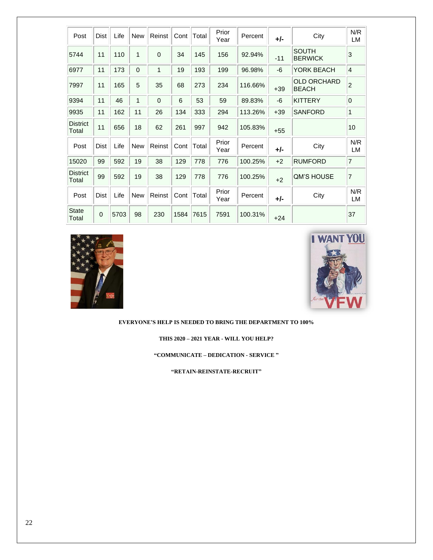| Post                     | Dist        | Life | <b>New</b>   | Reinst      | Cont | Total | Prior<br>Year | Percent | +/-   | City                               | N/R<br>LM      |
|--------------------------|-------------|------|--------------|-------------|------|-------|---------------|---------|-------|------------------------------------|----------------|
| 5744                     | 11          | 110  | 1            | $\mathbf 0$ | 34   | 145   | 156           | 92.94%  | $-11$ | <b>SOUTH</b><br><b>BERWICK</b>     | 3              |
| 6977                     | 11          | 173  | 0            | 1           | 19   | 193   | 199           | 96.98%  | -6    | YORK BEACH                         | $\overline{4}$ |
| 7997                     | 11          | 165  | 5            | 35          | 68   | 273   | 234           | 116.66% | $+39$ | <b>OLD ORCHARD</b><br><b>BEACH</b> | $\overline{2}$ |
| 9394                     | 11          | 46   | $\mathbf{1}$ | $\Omega$    | 6    | 53    | 59            | 89.83%  | -6    | <b>KITTERY</b>                     | $\mathbf 0$    |
| 9935                     | 11          | 162  | 11           | 26          | 134  | 333   | 294           | 113.26% | $+39$ | <b>SANFORD</b>                     | 1              |
| <b>District</b><br>Total | 11          | 656  | 18           | 62          | 261  | 997   | 942           | 105.83% | $+55$ |                                    | 10             |
| Post                     | <b>Dist</b> | Life | <b>New</b>   | Reinst      | Cont | Total | Prior<br>Year | Percent | +/-   | City                               | N/R<br>LM      |
| 15020                    | 99          | 592  | 19           | 38          | 129  | 778   | 776           | 100.25% | $+2$  | <b>RUMFORD</b>                     | $\overline{7}$ |
| <b>District</b><br>Total | 99          | 592  | 19           | 38          | 129  | 778   | 776           | 100.25% | $+2$  | <b>QM'S HOUSE</b>                  | $\overline{7}$ |
| Post                     | Dist        | Life | <b>New</b>   | Reinst      | Cont | Total | Prior<br>Year | Percent | +/-   | City                               | N/R<br>LM      |
| <b>State</b><br>Total    | $\Omega$    | 5703 | 98           | 230         | 1584 | 7615  | 7591          | 100.31% | $+24$ |                                    | 37             |





#### **EVERYONE'S HELP IS NEEDED TO BRING THE DEPARTMENT TO 100%**

**THIS 2020 – 2021 YEAR - WILL YOU HELP?**

**"COMMUNICATE – DEDICATION - SERVICE "**

**"RETAIN-REINSTATE-RECRUIT"**